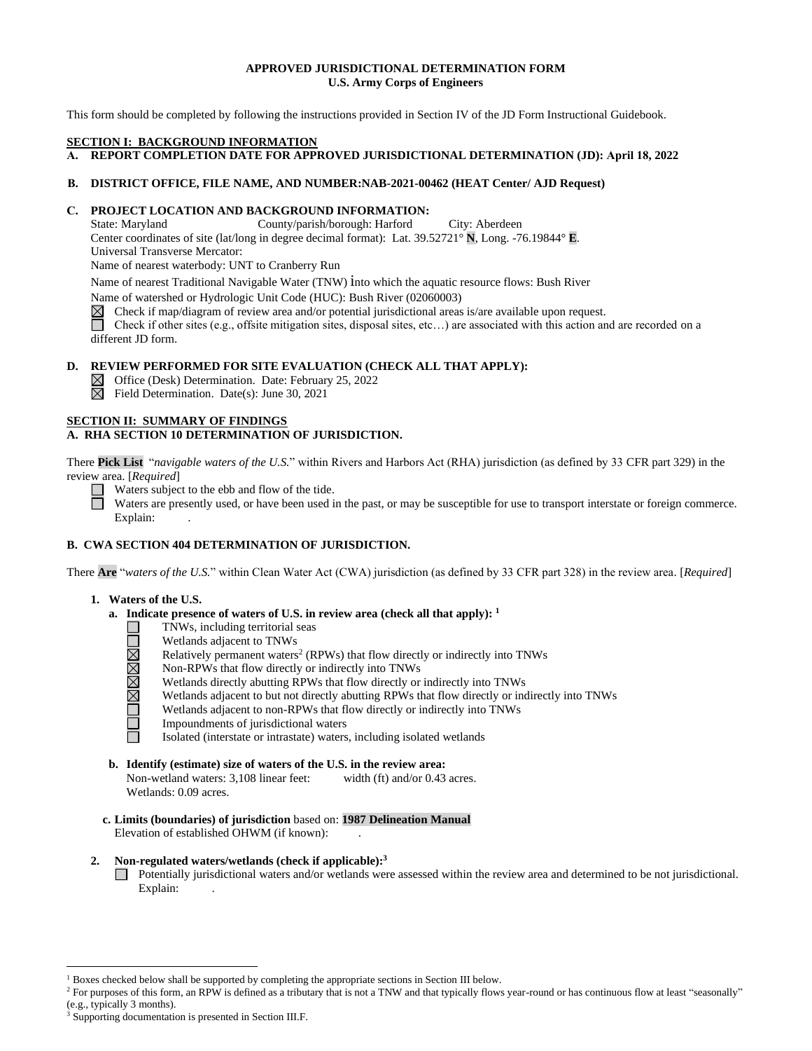## **APPROVED JURISDICTIONAL DETERMINATION FORM U.S. Army Corps of Engineers**

This form should be completed by following the instructions provided in Section IV of the JD Form Instructional Guidebook.

### **SECTION I: BACKGROUND INFORMATION**

**A. REPORT COMPLETION DATE FOR APPROVED JURISDICTIONAL DETERMINATION (JD): April 18, 2022**

# **B. DISTRICT OFFICE, FILE NAME, AND NUMBER:NAB-2021-00462 (HEAT Center/ AJD Request)**

# **C. PROJECT LOCATION AND BACKGROUND INFORMATION:**

State: Maryland County/parish/borough: Harford City: Aberdeen Center coordinates of site (lat/long in degree decimal format): Lat. 39.52721° **N**, Long. -76.19844° **E**. Universal Transverse Mercator:

Name of nearest waterbody: UNT to Cranberry Run

Name of nearest Traditional Navigable Water (TNW) into which the aquatic resource flows: Bush River

Name of watershed or Hydrologic Unit Code (HUC): Bush River (02060003)

 $\boxtimes$ Check if map/diagram of review area and/or potential jurisdictional areas is/are available upon request.

Check if other sites (e.g., offsite mitigation sites, disposal sites, etc…) are associated with this action and are recorded on a different JD form.

# **D. REVIEW PERFORMED FOR SITE EVALUATION (CHECK ALL THAT APPLY):**

 $\boxtimes$  Office (Desk) Determination. Date: February 25, 2022

 $\boxtimes$  Field Determination. Date(s): June 30, 2021

## **SECTION II: SUMMARY OF FINDINGS**

# **A. RHA SECTION 10 DETERMINATION OF JURISDICTION.**

There **Pick List** "*navigable waters of the U.S.*" within Rivers and Harbors Act (RHA) jurisdiction (as defined by 33 CFR part 329) in the review area. [*Required*]

Waters subject to the ebb and flow of the tide.

Waters are presently used, or have been used in the past, or may be susceptible for use to transport interstate or foreign commerce. Explain:

# **B. CWA SECTION 404 DETERMINATION OF JURISDICTION.**

There **Are** "*waters of the U.S.*" within Clean Water Act (CWA) jurisdiction (as defined by 33 CFR part 328) in the review area. [*Required*]

# **1. Waters of the U.S.**

- **a. Indicate presence of waters of U.S. in review area (check all that apply): 1**
	- TNWs, including territorial seas
	- Wetlands adjacent to TNWs
	- Relatively permanent waters<sup>2</sup> (RPWs) that flow directly or indirectly into TNWs
	- Non-RPWs that flow directly or indirectly into TNWs
	- Wetlands directly abutting RPWs that flow directly or indirectly into TNWs
	- **UNBERT** Wetlands adjacent to but not directly abutting RPWs that flow directly or indirectly into TNWs
		- Wetlands adjacent to non-RPWs that flow directly or indirectly into TNWs
		- Impoundments of jurisdictional waters

Isolated (interstate or intrastate) waters, including isolated wetlands

# **b. Identify (estimate) size of waters of the U.S. in the review area:**

Non-wetland waters: 3,108 linear feet: width (ft) and/or 0.43 acres. Wetlands: 0.09 acres.

**c. Limits (boundaries) of jurisdiction** based on: **1987 Delineation Manual** Elevation of established OHWM (if known):

## **2. Non-regulated waters/wetlands (check if applicable): 3**

Potentially jurisdictional waters and/or wetlands were assessed within the review area and determined to be not jurisdictional. Explain:

<sup>1</sup> Boxes checked below shall be supported by completing the appropriate sections in Section III below.

<sup>&</sup>lt;sup>2</sup> For purposes of this form, an RPW is defined as a tributary that is not a TNW and that typically flows year-round or has continuous flow at least "seasonally" (e.g., typically 3 months).

<sup>3</sup> Supporting documentation is presented in Section III.F.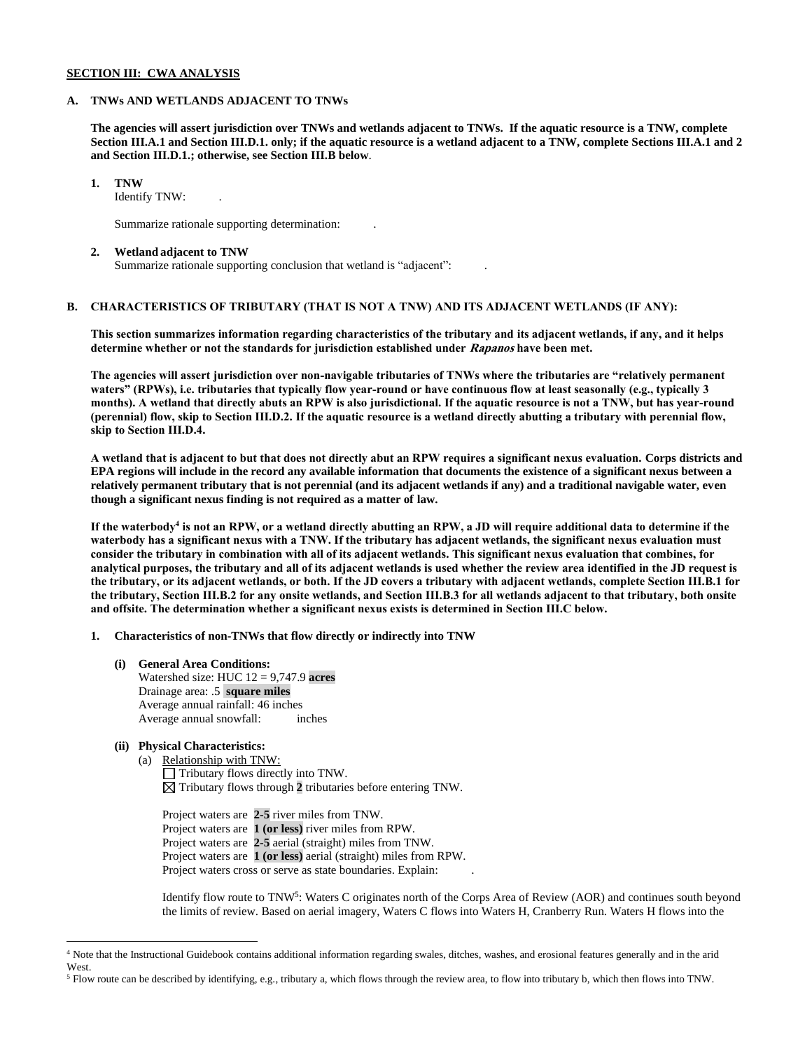## **SECTION III: CWA ANALYSIS**

### **A. TNWs AND WETLANDS ADJACENT TO TNWs**

**The agencies will assert jurisdiction over TNWs and wetlands adjacent to TNWs. If the aquatic resource is a TNW, complete Section III.A.1 and Section III.D.1. only; if the aquatic resource is a wetland adjacent to a TNW, complete Sections III.A.1 and 2 and Section III.D.1.; otherwise, see Section III.B below**.

**1. TNW** 

Identify TNW: .

Summarize rationale supporting determination: .

#### **2. Wetland adjacent to TNW**

Summarize rationale supporting conclusion that wetland is "adjacent": .

# **B. CHARACTERISTICS OF TRIBUTARY (THAT IS NOT A TNW) AND ITS ADJACENT WETLANDS (IF ANY):**

**This section summarizes information regarding characteristics of the tributary and its adjacent wetlands, if any, and it helps determine whether or not the standards for jurisdiction established under Rapanos have been met.** 

**The agencies will assert jurisdiction over non-navigable tributaries of TNWs where the tributaries are "relatively permanent waters" (RPWs), i.e. tributaries that typically flow year-round or have continuous flow at least seasonally (e.g., typically 3 months). A wetland that directly abuts an RPW is also jurisdictional. If the aquatic resource is not a TNW, but has year-round (perennial) flow, skip to Section III.D.2. If the aquatic resource is a wetland directly abutting a tributary with perennial flow, skip to Section III.D.4.**

**A wetland that is adjacent to but that does not directly abut an RPW requires a significant nexus evaluation. Corps districts and EPA regions will include in the record any available information that documents the existence of a significant nexus between a relatively permanent tributary that is not perennial (and its adjacent wetlands if any) and a traditional navigable water, even though a significant nexus finding is not required as a matter of law.**

**If the waterbody<sup>4</sup> is not an RPW, or a wetland directly abutting an RPW, a JD will require additional data to determine if the waterbody has a significant nexus with a TNW. If the tributary has adjacent wetlands, the significant nexus evaluation must consider the tributary in combination with all of its adjacent wetlands. This significant nexus evaluation that combines, for analytical purposes, the tributary and all of its adjacent wetlands is used whether the review area identified in the JD request is the tributary, or its adjacent wetlands, or both. If the JD covers a tributary with adjacent wetlands, complete Section III.B.1 for the tributary, Section III.B.2 for any onsite wetlands, and Section III.B.3 for all wetlands adjacent to that tributary, both onsite and offsite. The determination whether a significant nexus exists is determined in Section III.C below.**

**1. Characteristics of non-TNWs that flow directly or indirectly into TNW**

**(i) General Area Conditions:** Watershed size: HUC 12 = 9,747.9 **acres** Drainage area: .5 **square miles** Average annual rainfall: 46 inches Average annual snowfall: inches

# **(ii) Physical Characteristics:**

(a) Relationship with TNW: Tributary flows directly into TNW.  $\boxtimes$  Tributary flows through 2 tributaries before entering TNW.

Project waters are **2-5** river miles from TNW. Project waters are **1 (or less)** river miles from RPW. Project waters are **2-5** aerial (straight) miles from TNW. Project waters are **1 (or less)** aerial (straight) miles from RPW. Project waters cross or serve as state boundaries. Explain:

Identify flow route to TNW<sup>5</sup>: Waters C originates north of the Corps Area of Review (AOR) and continues south beyond the limits of review. Based on aerial imagery, Waters C flows into Waters H, Cranberry Run. Waters H flows into the

<sup>4</sup> Note that the Instructional Guidebook contains additional information regarding swales, ditches, washes, and erosional features generally and in the arid West.

<sup>5</sup> Flow route can be described by identifying, e.g., tributary a, which flows through the review area, to flow into tributary b, which then flows into TNW.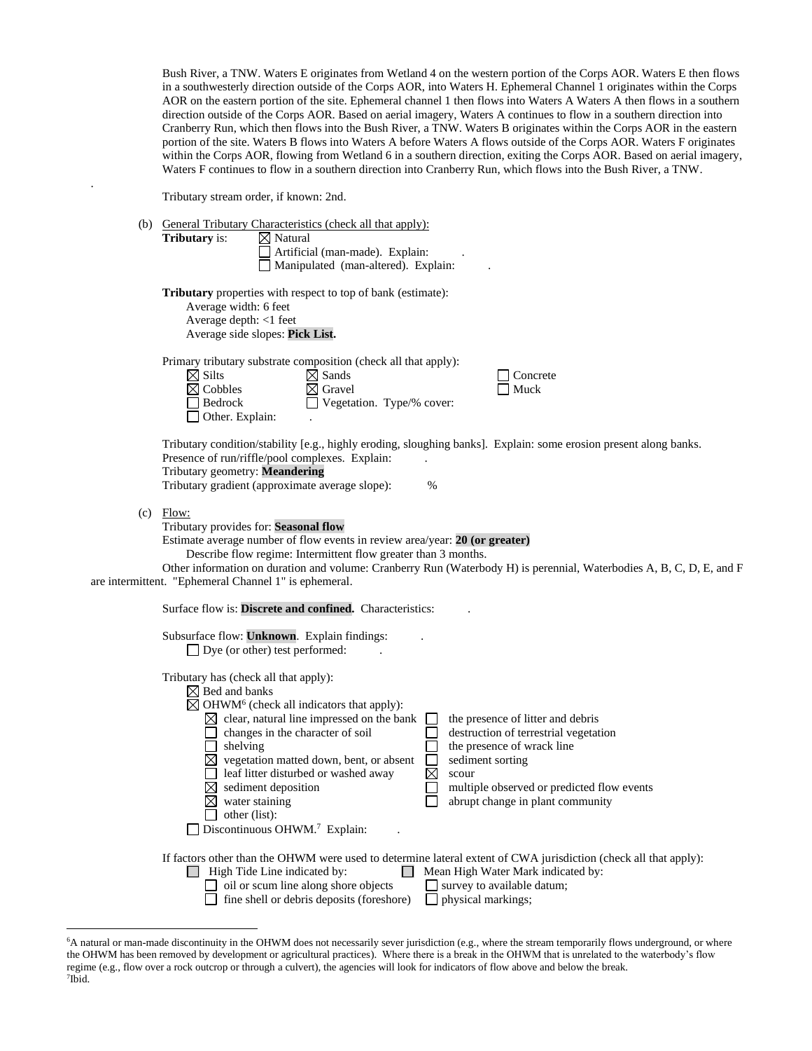Bush River, a TNW. Waters E originates from Wetland 4 on the western portion of the Corps AOR. Waters E then flows in a southwesterly direction outside of the Corps AOR, into Waters H. Ephemeral Channel 1 originates within the Corps AOR on the eastern portion of the site. Ephemeral channel 1 then flows into Waters A Waters A then flows in a southern direction outside of the Corps AOR. Based on aerial imagery, Waters A continues to flow in a southern direction into Cranberry Run, which then flows into the Bush River, a TNW. Waters B originates within the Corps AOR in the eastern portion of the site. Waters B flows into Waters A before Waters A flows outside of the Corps AOR. Waters F originates within the Corps AOR, flowing from Wetland 6 in a southern direction, exiting the Corps AOR. Based on aerial imagery, Waters F continues to flow in a southern direction into Cranberry Run, which flows into the Bush River, a TNW.

Tributary stream order, if known: 2nd.

.

|     | (b) General Tributary Characteristics (check all that apply):<br><b>Tributary</b> is:<br>$\boxtimes$ Natural<br>Artificial (man-made). Explain:<br>Manipulated (man-altered). Explain:                                                                                                                                                                                                                                                                                                                                                                                                                                                                                                                                |  |  |  |  |  |
|-----|-----------------------------------------------------------------------------------------------------------------------------------------------------------------------------------------------------------------------------------------------------------------------------------------------------------------------------------------------------------------------------------------------------------------------------------------------------------------------------------------------------------------------------------------------------------------------------------------------------------------------------------------------------------------------------------------------------------------------|--|--|--|--|--|
|     | <b>Tributary</b> properties with respect to top of bank (estimate):<br>Average width: 6 feet<br>Average depth: <1 feet<br>Average side slopes: Pick List.                                                                                                                                                                                                                                                                                                                                                                                                                                                                                                                                                             |  |  |  |  |  |
|     | Primary tributary substrate composition (check all that apply):<br>$\boxtimes$ Silts<br>$\boxtimes$ Sands<br>Concrete<br>$\boxtimes$ Cobbles<br>$\boxtimes$ Gravel<br>Muck<br>$\Box$ Bedrock<br>$\Box$ Vegetation. Type/% cover:<br>Other. Explain:                                                                                                                                                                                                                                                                                                                                                                                                                                                                   |  |  |  |  |  |
|     | Tributary condition/stability [e.g., highly eroding, sloughing banks]. Explain: some erosion present along banks.<br>Presence of run/riffle/pool complexes. Explain:<br>Tributary geometry: Meandering<br>Tributary gradient (approximate average slope):<br>$\%$                                                                                                                                                                                                                                                                                                                                                                                                                                                     |  |  |  |  |  |
| (c) | Flow:<br>Tributary provides for: Seasonal flow<br>Estimate average number of flow events in review area/year: 20 (or greater)<br>Describe flow regime: Intermittent flow greater than 3 months.<br>Other information on duration and volume: Cranberry Run (Waterbody H) is perennial, Waterbodies A, B, C, D, E, and F<br>are intermittent. "Ephemeral Channel 1" is ephemeral.                                                                                                                                                                                                                                                                                                                                      |  |  |  |  |  |
|     | Surface flow is: Discrete and confined. Characteristics:                                                                                                                                                                                                                                                                                                                                                                                                                                                                                                                                                                                                                                                              |  |  |  |  |  |
|     | Subsurface flow: Unknown. Explain findings:<br>$\Box$ Dye (or other) test performed:                                                                                                                                                                                                                                                                                                                                                                                                                                                                                                                                                                                                                                  |  |  |  |  |  |
|     | Tributary has (check all that apply):<br>$\boxtimes$ Bed and banks<br>$\boxtimes$ OHWM <sup>6</sup> (check all indicators that apply):<br>$\boxtimes$ clear, natural line impressed on the bank<br>the presence of litter and debris<br>changes in the character of soil<br>destruction of terrestrial vegetation<br>shelving<br>the presence of wrack line<br>$\boxtimes$ vegetation matted down, bent, or absent<br>sediment sorting<br>$\boxtimes$<br>leaf litter disturbed or washed away<br>scour<br>sediment deposition<br>multiple observed or predicted flow events<br>$\boxtimes$<br>water staining<br>abrupt change in plant community<br>other (list):<br>$\Box$ Discontinuous OHWM. <sup>7</sup> Explain: |  |  |  |  |  |
|     | If factors other than the OHWM were used to determine lateral extent of CWA jurisdiction (check all that apply):<br>$\Box$ High Tide Line indicated by:<br>Mean High Water Mark indicated by:<br>$\Box$<br>oil or scum line along shore objects<br>survey to available datum;<br>fine shell or debris deposits (foreshore)<br>$\Box$ physical markings;                                                                                                                                                                                                                                                                                                                                                               |  |  |  |  |  |

<sup>6</sup>A natural or man-made discontinuity in the OHWM does not necessarily sever jurisdiction (e.g., where the stream temporarily flows underground, or where the OHWM has been removed by development or agricultural practices). Where there is a break in the OHWM that is unrelated to the waterbody's flow regime (e.g., flow over a rock outcrop or through a culvert), the agencies will look for indicators of flow above and below the break. 7 Ibid.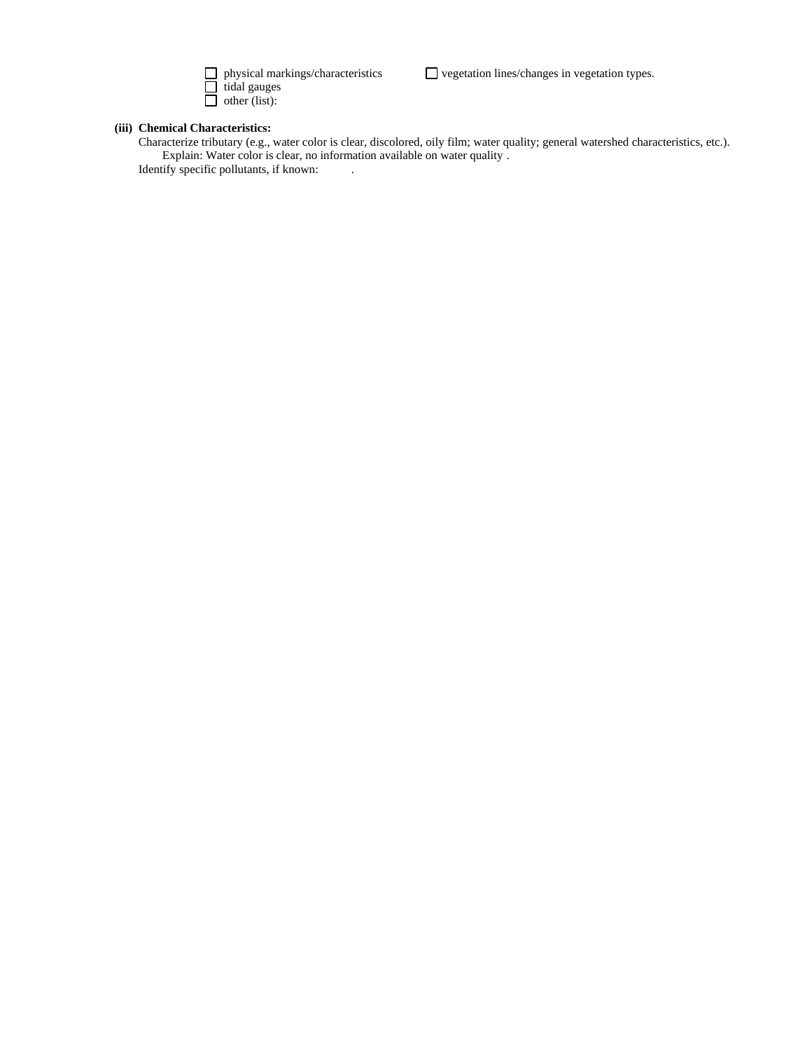

 tidal gauges other (list):

 $\Box$  vegetation lines/changes in vegetation types.

# **(iii) Chemical Characteristics:**

Characterize tributary (e.g., water color is clear, discolored, oily film; water quality; general watershed characteristics, etc.). Explain: Water color is clear, no information available on water quality .

Identify specific pollutants, if known: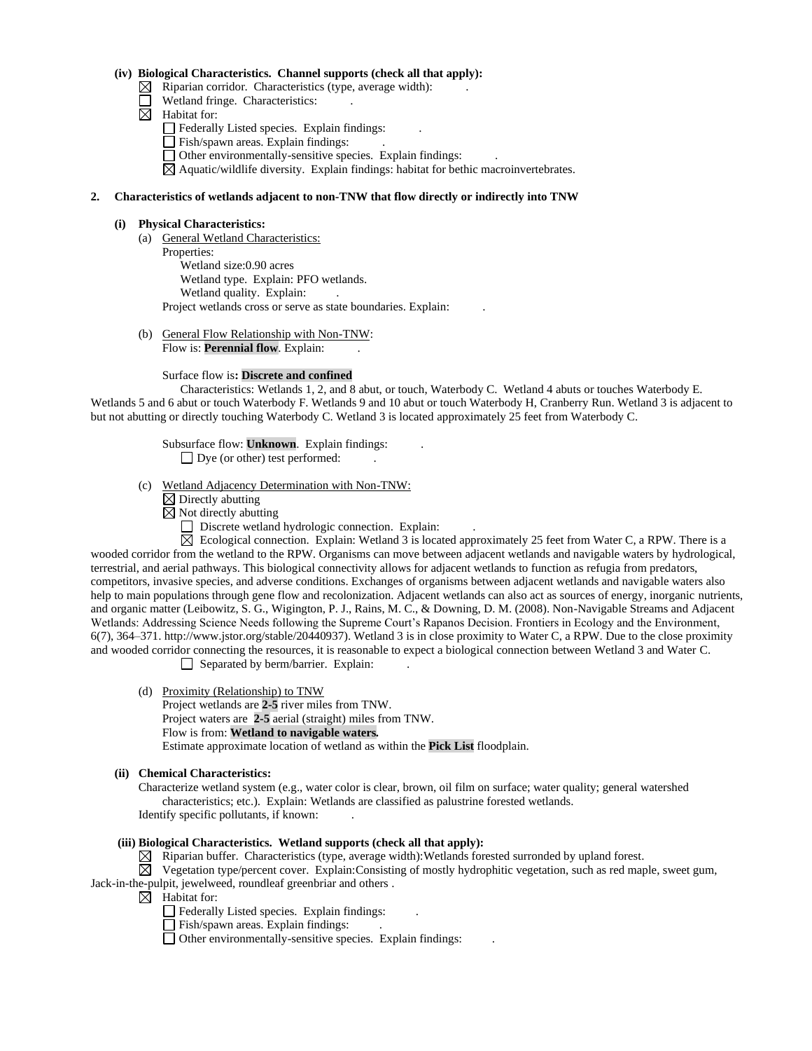## **(iv) Biological Characteristics. Channel supports (check all that apply):**

- $\boxtimes$  Riparian corridor. Characteristics (type, average width):
- Wetland fringe. Characteristics:  $\Box$
- $\boxtimes$  Habitat for:

Federally Listed species. Explain findings: .

- Fish/spawn areas. Explain findings:
- Other environmentally-sensitive species. Explain findings: .

 $\boxtimes$  Aquatic/wildlife diversity. Explain findings: habitat for bethic macroinvertebrates.

## **2. Characteristics of wetlands adjacent to non-TNW that flow directly or indirectly into TNW**

#### **(i) Physical Characteristics:**

- (a) General Wetland Characteristics: Properties: Wetland size:0.90 acres Wetland type. Explain: PFO wetlands. Wetland quality. Explain: Project wetlands cross or serve as state boundaries. Explain: .
- (b) General Flow Relationship with Non-TNW: Flow is: **Perennial flow**. Explain:

### Surface flow is**: Discrete and confined**

Characteristics: Wetlands 1, 2, and 8 abut, or touch, Waterbody C. Wetland 4 abuts or touches Waterbody E. Wetlands 5 and 6 abut or touch Waterbody F. Wetlands 9 and 10 abut or touch Waterbody H, Cranberry Run. Wetland 3 is adjacent to but not abutting or directly touching Waterbody C. Wetland 3 is located approximately 25 feet from Waterbody C.

# Subsurface flow: **Unknown**. Explain findings: .

Dye (or other) test performed:

- (c) Wetland Adjacency Determination with Non-TNW:
	- $\boxtimes$  Directly abutting
	- $\boxtimes$  Not directly abutting
		- Discrete wetland hydrologic connection. Explain:

 $\boxtimes$  Ecological connection. Explain: Wetland 3 is located approximately 25 feet from Water C, a RPW. There is a wooded corridor from the wetland to the RPW. Organisms can move between adjacent wetlands and navigable waters by hydrological, terrestrial, and aerial pathways. This biological connectivity allows for adjacent wetlands to function as refugia from predators, competitors, invasive species, and adverse conditions. Exchanges of organisms between adjacent wetlands and navigable waters also help to main populations through gene flow and recolonization. Adjacent wetlands can also act as sources of energy, inorganic nutrients, and organic matter (Leibowitz, S. G., Wigington, P. J., Rains, M. C., & Downing, D. M. (2008). Non-Navigable Streams and Adjacent Wetlands: Addressing Science Needs following the Supreme Court's Rapanos Decision. Frontiers in Ecology and the Environment, 6(7), 364–371. http://www.jstor.org/stable/20440937). Wetland 3 is in close proximity to Water C, a RPW. Due to the close proximity and wooded corridor connecting the resources, it is reasonable to expect a biological connection between Wetland 3 and Water C.

 $\Box$  Separated by berm/barrier. Explain:

- (d) Proximity (Relationship) to TNW
	- Project wetlands are **2-5** river miles from TNW.
	- Project waters are **2-5** aerial (straight) miles from TNW.
	- Flow is from: **Wetland to navigable waters.**

Estimate approximate location of wetland as within the **Pick List** floodplain.

## **(ii) Chemical Characteristics:**

Characterize wetland system (e.g., water color is clear, brown, oil film on surface; water quality; general watershed characteristics; etc.). Explain: Wetlands are classified as palustrine forested wetlands. Identify specific pollutants, if known: .

## **(iii) Biological Characteristics. Wetland supports (check all that apply):**

 $\boxtimes$  Riparian buffer. Characteristics (type, average width):Wetlands forested surronded by upland forest.

 $\boxtimes$  Vegetation type/percent cover. Explain:Consisting of mostly hydrophitic vegetation, such as red maple, sweet gum, Jack-in-the-pulpit, jewelweed, roundleaf greenbriar and others .

- $\boxtimes$  Habitat for:
	- $\Box$  Federally Listed species. Explain findings:
	- Fish/spawn areas. Explain findings:
	- $\Box$  Other environmentally-sensitive species. Explain findings: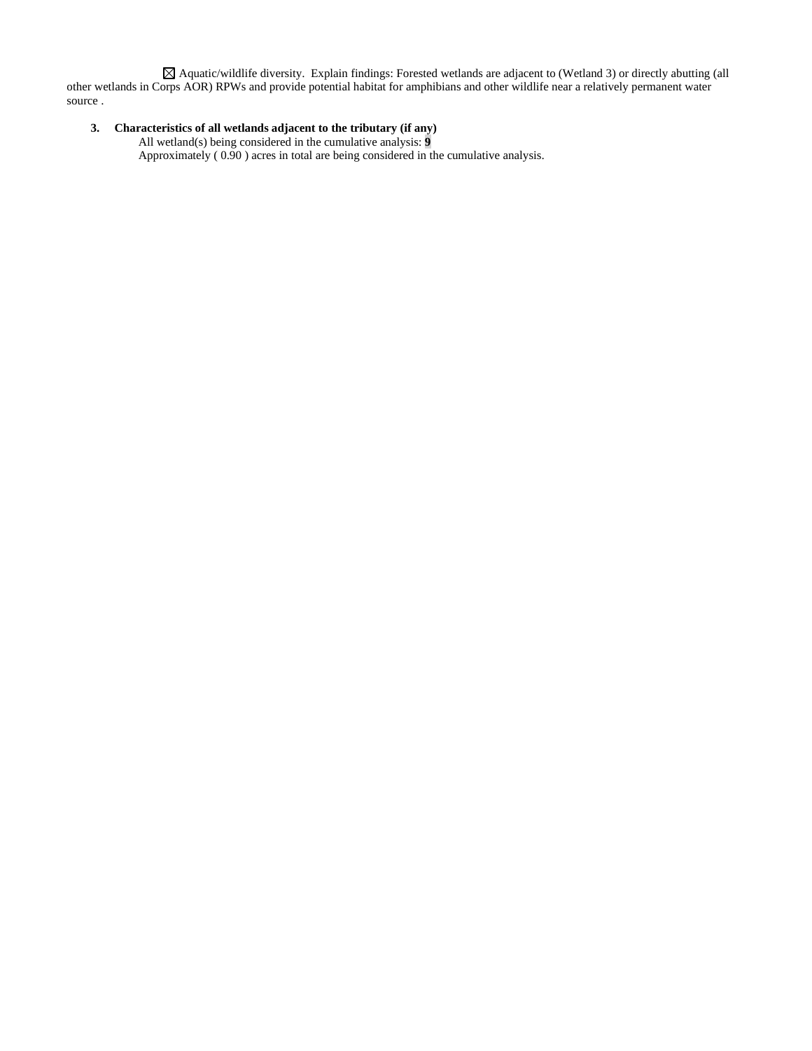Aquatic/wildlife diversity. Explain findings: Forested wetlands are adjacent to (Wetland 3) or directly abutting (all other wetlands in Corps AOR) RPWs and provide potential habitat for amphibians and other wildlife near a relatively permanent water source .

# **3. Characteristics of all wetlands adjacent to the tributary (if any)**

All wetland(s) being considered in the cumulative analysis: **9** Approximately ( 0.90 ) acres in total are being considered in the cumulative analysis.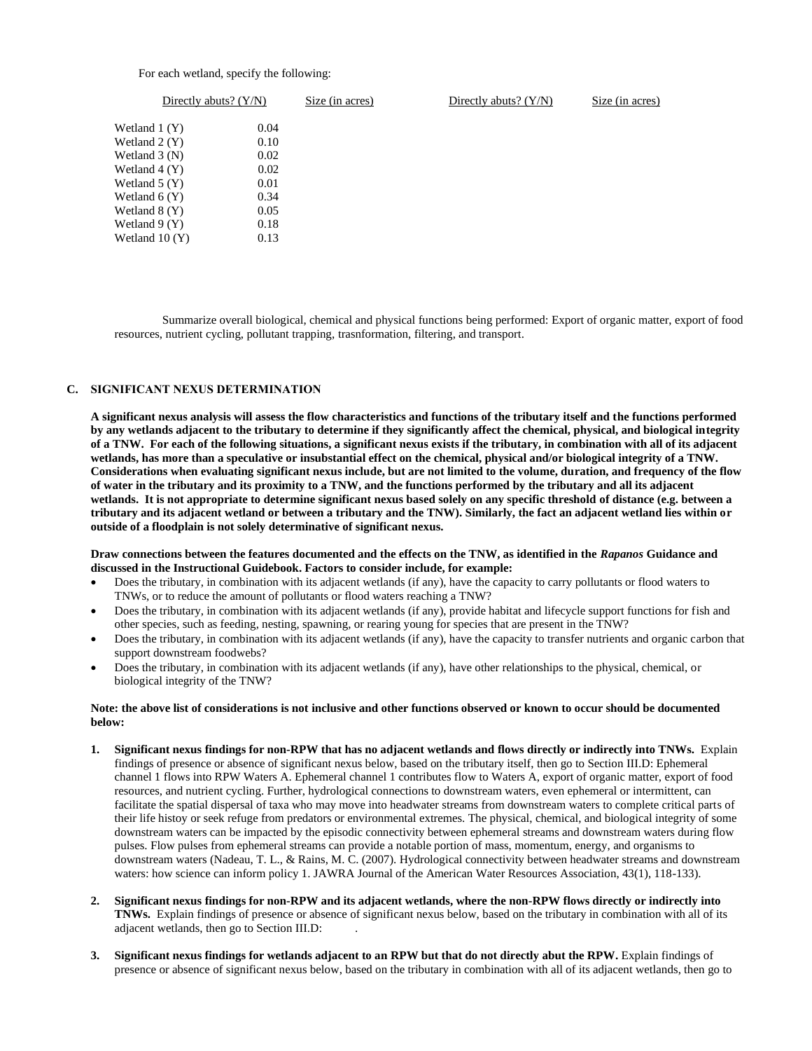### For each wetland, specify the following:

|                 | Directly abuts? $(Y/N)$ | Size (in acres) | Directly abuts? $(Y/N)$ | Size (in acres) |
|-----------------|-------------------------|-----------------|-------------------------|-----------------|
| Wetland $1(Y)$  |                         | 0.04            |                         |                 |
| Wetland $2(Y)$  |                         | 0.10            |                         |                 |
| Wetland $3(N)$  |                         | 0.02            |                         |                 |
| Wetland $4(Y)$  |                         | 0.02            |                         |                 |
| Wetland $5(Y)$  |                         | 0.01            |                         |                 |
| Wetland $6(Y)$  |                         | 0.34            |                         |                 |
| Wetland $8(Y)$  |                         | 0.05            |                         |                 |
| Wetland $9(Y)$  |                         | 0.18            |                         |                 |
| Wetland $10(Y)$ |                         | 0.13            |                         |                 |

Summarize overall biological, chemical and physical functions being performed: Export of organic matter, export of food resources, nutrient cycling, pollutant trapping, trasnformation, filtering, and transport.

### **C. SIGNIFICANT NEXUS DETERMINATION**

**A significant nexus analysis will assess the flow characteristics and functions of the tributary itself and the functions performed by any wetlands adjacent to the tributary to determine if they significantly affect the chemical, physical, and biological integrity of a TNW. For each of the following situations, a significant nexus exists if the tributary, in combination with all of its adjacent wetlands, has more than a speculative or insubstantial effect on the chemical, physical and/or biological integrity of a TNW. Considerations when evaluating significant nexus include, but are not limited to the volume, duration, and frequency of the flow of water in the tributary and its proximity to a TNW, and the functions performed by the tributary and all its adjacent wetlands. It is not appropriate to determine significant nexus based solely on any specific threshold of distance (e.g. between a tributary and its adjacent wetland or between a tributary and the TNW). Similarly, the fact an adjacent wetland lies within or outside of a floodplain is not solely determinative of significant nexus.** 

### **Draw connections between the features documented and the effects on the TNW, as identified in the** *Rapanos* **Guidance and discussed in the Instructional Guidebook. Factors to consider include, for example:**

- Does the tributary, in combination with its adjacent wetlands (if any), have the capacity to carry pollutants or flood waters to TNWs, or to reduce the amount of pollutants or flood waters reaching a TNW?
- Does the tributary, in combination with its adjacent wetlands (if any), provide habitat and lifecycle support functions for fish and other species, such as feeding, nesting, spawning, or rearing young for species that are present in the TNW?
- Does the tributary, in combination with its adjacent wetlands (if any), have the capacity to transfer nutrients and organic carbon that support downstream foodwebs?
- Does the tributary, in combination with its adjacent wetlands (if any), have other relationships to the physical, chemical, or biological integrity of the TNW?

### **Note: the above list of considerations is not inclusive and other functions observed or known to occur should be documented below:**

- **1. Significant nexus findings for non-RPW that has no adjacent wetlands and flows directly or indirectly into TNWs.** Explain findings of presence or absence of significant nexus below, based on the tributary itself, then go to Section III.D: Ephemeral channel 1 flows into RPW Waters A. Ephemeral channel 1 contributes flow to Waters A, export of organic matter, export of food resources, and nutrient cycling. Further, hydrological connections to downstream waters, even ephemeral or intermittent, can facilitate the spatial dispersal of taxa who may move into headwater streams from downstream waters to complete critical parts of their life histoy or seek refuge from predators or environmental extremes. The physical, chemical, and biological integrity of some downstream waters can be impacted by the episodic connectivity between ephemeral streams and downstream waters during flow pulses. Flow pulses from ephemeral streams can provide a notable portion of mass, momentum, energy, and organisms to downstream waters (Nadeau, T. L., & Rains, M. C. (2007). Hydrological connectivity between headwater streams and downstream waters: how science can inform policy 1. JAWRA Journal of the American Water Resources Association, 43(1), 118-133).
- **2. Significant nexus findings for non-RPW and its adjacent wetlands, where the non-RPW flows directly or indirectly into TNWs.** Explain findings of presence or absence of significant nexus below, based on the tributary in combination with all of its adjacent wetlands, then go to Section III.D: .
- **3. Significant nexus findings for wetlands adjacent to an RPW but that do not directly abut the RPW.** Explain findings of presence or absence of significant nexus below, based on the tributary in combination with all of its adjacent wetlands, then go to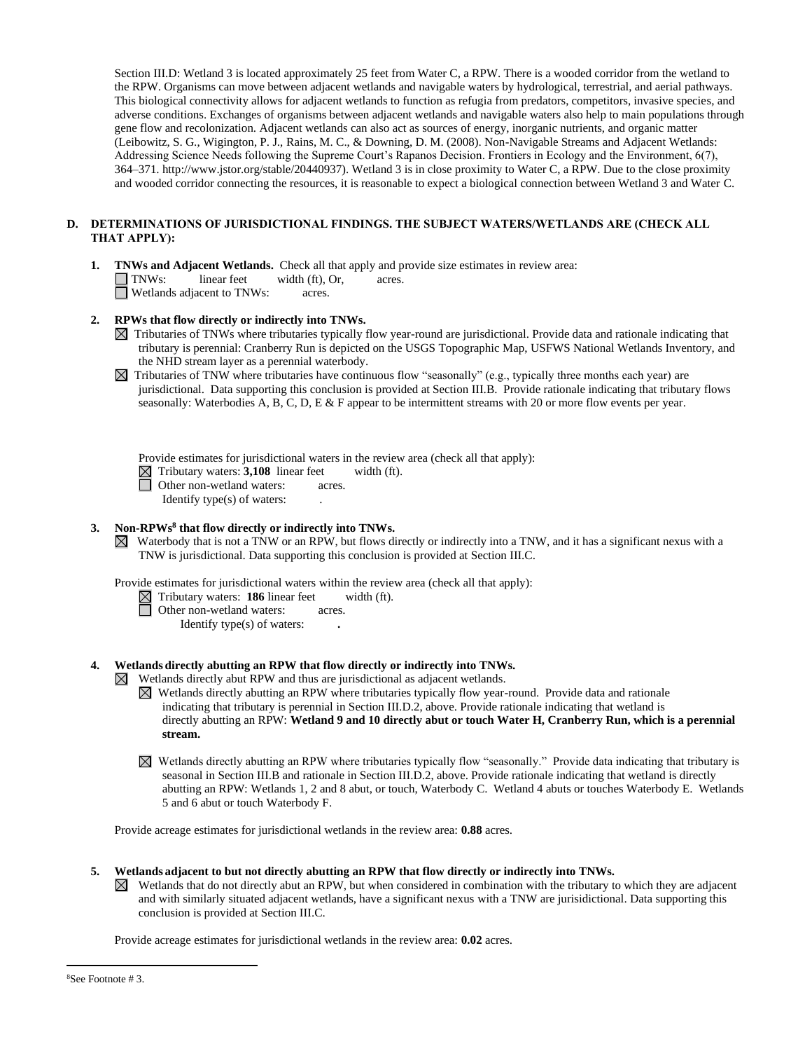Section III.D: Wetland 3 is located approximately 25 feet from Water C, a RPW. There is a wooded corridor from the wetland to the RPW. Organisms can move between adjacent wetlands and navigable waters by hydrological, terrestrial, and aerial pathways. This biological connectivity allows for adjacent wetlands to function as refugia from predators, competitors, invasive species, and adverse conditions. Exchanges of organisms between adjacent wetlands and navigable waters also help to main populations through gene flow and recolonization. Adjacent wetlands can also act as sources of energy, inorganic nutrients, and organic matter (Leibowitz, S. G., Wigington, P. J., Rains, M. C., & Downing, D. M. (2008). Non-Navigable Streams and Adjacent Wetlands: Addressing Science Needs following the Supreme Court's Rapanos Decision. Frontiers in Ecology and the Environment, 6(7), 364–371. http://www.jstor.org/stable/20440937). Wetland 3 is in close proximity to Water C, a RPW. Due to the close proximity and wooded corridor connecting the resources, it is reasonable to expect a biological connection between Wetland 3 and Water C.

## **D. DETERMINATIONS OF JURISDICTIONAL FINDINGS. THE SUBJECT WATERS/WETLANDS ARE (CHECK ALL THAT APPLY):**

**1. TNWs and Adjacent Wetlands.** Check all that apply and provide size estimates in review area: TNWs: linear feet width (ft), Or, acres. **N** Wetlands adjacent to TNWs: acres.

## **2. RPWs that flow directly or indirectly into TNWs.**

- Tributaries of TNWs where tributaries typically flow year-round are jurisdictional. Provide data and rationale indicating that tributary is perennial: Cranberry Run is depicted on the USGS Topographic Map, USFWS National Wetlands Inventory, and the NHD stream layer as a perennial waterbody.
- $\boxtimes$  Tributaries of TNW where tributaries have continuous flow "seasonally" (e.g., typically three months each year) are jurisdictional. Data supporting this conclusion is provided at Section III.B. Provide rationale indicating that tributary flows seasonally: Waterbodies A, B, C, D, E & F appear to be intermittent streams with 20 or more flow events per year.

Provide estimates for jurisdictional waters in the review area (check all that apply):

Tributary waters: **3,108** linear feet width (ft).

Other non-wetland waters: acres.

Identify type(s) of waters: .

### **3. Non-RPWs<sup>8</sup> that flow directly or indirectly into TNWs.**

Waterbody that is not a TNW or an RPW, but flows directly or indirectly into a TNW, and it has a significant nexus with a TNW is jurisdictional. Data supporting this conclusion is provided at Section III.C.

Provide estimates for jurisdictional waters within the review area (check all that apply):

- Tributary waters: **186** linear feet width (ft).
	- Other non-wetland waters: acres.
		- Identify type(s) of waters: **.**

## **4. Wetlands directly abutting an RPW that flow directly or indirectly into TNWs.**

- Wetlands directly abut RPW and thus are jurisdictional as adjacent wetlands.
	- Wetlands directly abutting an RPW where tributaries typically flow year-round. Provide data and rationale indicating that tributary is perennial in Section III.D.2, above. Provide rationale indicating that wetland is directly abutting an RPW: **Wetland 9 and 10 directly abut or touch Water H, Cranberry Run, which is a perennial stream.**
	- Wetlands directly abutting an RPW where tributaries typically flow "seasonally." Provide data indicating that tributary is seasonal in Section III.B and rationale in Section III.D.2, above. Provide rationale indicating that wetland is directly abutting an RPW: Wetlands 1, 2 and 8 abut, or touch, Waterbody C. Wetland 4 abuts or touches Waterbody E. Wetlands 5 and 6 abut or touch Waterbody F.

Provide acreage estimates for jurisdictional wetlands in the review area: **0.88** acres.

- **5. Wetlands adjacent to but not directly abutting an RPW that flow directly or indirectly into TNWs.**
	- Wetlands that do not directly abut an RPW, but when considered in combination with the tributary to which they are adjacent  $\boxtimes$ and with similarly situated adjacent wetlands, have a significant nexus with a TNW are jurisidictional. Data supporting this conclusion is provided at Section III.C.

Provide acreage estimates for jurisdictional wetlands in the review area: **0.02** acres.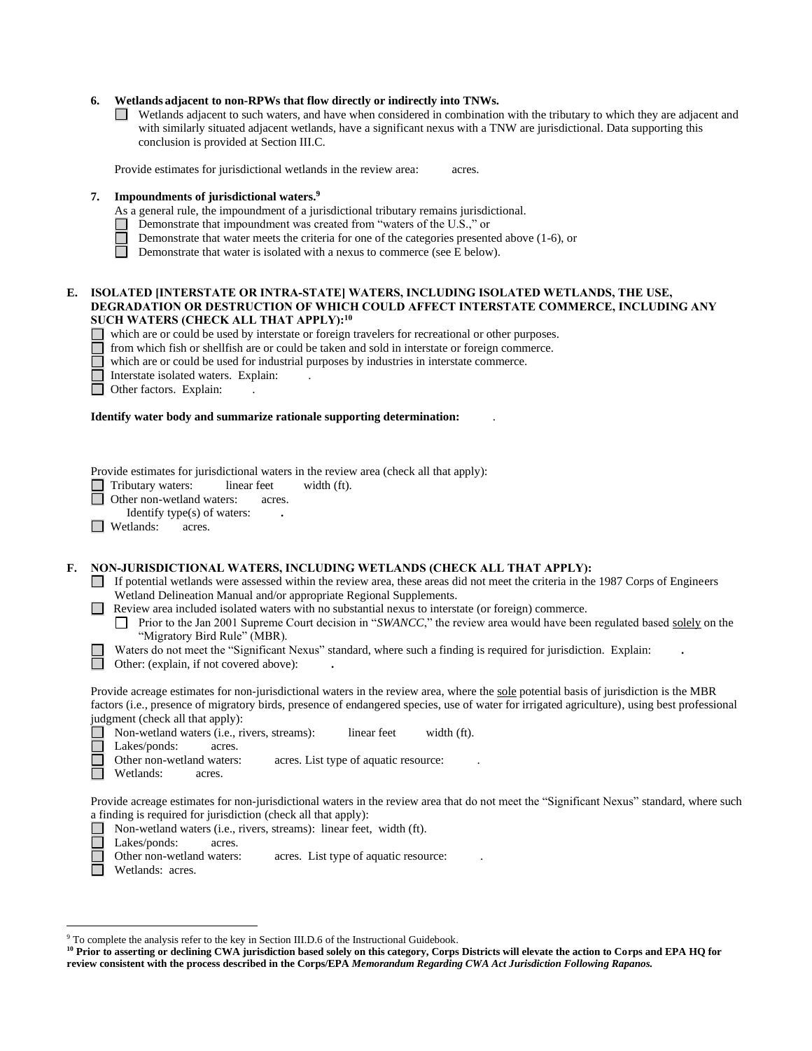## **6. Wetlands adjacent to non-RPWs that flow directly or indirectly into TNWs.**

Wetlands adjacent to such waters, and have when considered in combination with the tributary to which they are adjacent and with similarly situated adjacent wetlands, have a significant nexus with a TNW are jurisdictional. Data supporting this conclusion is provided at Section III.C.

Provide estimates for jurisdictional wetlands in the review area: acres.

### **7. Impoundments of jurisdictional waters. 9**

- As a general rule, the impoundment of a jurisdictional tributary remains jurisdictional.
- Demonstrate that impoundment was created from "waters of the U.S.," or
- Demonstrate that water meets the criteria for one of the categories presented above (1-6), or
- $\Box$ Demonstrate that water is isolated with a nexus to commerce (see E below).

### **E. ISOLATED [INTERSTATE OR INTRA-STATE] WATERS, INCLUDING ISOLATED WETLANDS, THE USE, DEGRADATION OR DESTRUCTION OF WHICH COULD AFFECT INTERSTATE COMMERCE, INCLUDING ANY SUCH WATERS (CHECK ALL THAT APPLY):<sup>10</sup>**

which are or could be used by interstate or foreign travelers for recreational or other purposes.

 from which fish or shellfish are or could be taken and sold in interstate or foreign commerce. Ħ

which are or could be used for industrial purposes by industries in interstate commerce.

П Interstate isolated waters.Explain: .

Other factors. Explain:

## **Identify water body and summarize rationale supporting determination:** .

Provide estimates for jurisdictional waters in the review area (check all that apply):

□ Tributary waters: linear feet width (ft).

□ Other non-wetland waters: acres.

Identify type(s) of waters: **.**

 $\Box$  Wetlands: acres.

### **F. NON-JURISDICTIONAL WATERS, INCLUDING WETLANDS (CHECK ALL THAT APPLY):**

 $\Box$  If potential wetlands were assessed within the review area, these areas did not meet the criteria in the 1987 Corps of Engineers Wetland Delineation Manual and/or appropriate Regional Supplements.

**Review area included isolated waters with no substantial nexus to interstate (or foreign) commerce.** 

Prior to the Jan 2001 Supreme Court decision in "*SWANCC*," the review area would have been regulated based solely on the  $\perp$ "Migratory Bird Rule" (MBR).

Waters do not meet the "Significant Nexus" standard, where such a finding is required for jurisdiction. Explain: **.**

Other: (explain, if not covered above): **.**

Provide acreage estimates for non-jurisdictional waters in the review area, where the sole potential basis of jurisdiction is the MBR factors (i.e., presence of migratory birds, presence of endangered species, use of water for irrigated agriculture), using best professional judgment (check all that apply):

Non-wetland waters (i.e., rivers, streams): linear feet width (ft). Lakes/ponds: acres. Other non-wetland waters: acres. List type of aquatic resource: Wetlands: acres.

Provide acreage estimates for non-jurisdictional waters in the review area that do not meet the "Significant Nexus" standard, where such a finding is required for jurisdiction (check all that apply):

Non-wetland waters (i.e., rivers, streams): linear feet, width (ft).

 $\Box$ Lakes/ponds: acres.

Other non-wetland waters: acres. List type of aquatic resource:

Wetlands: acres.

<sup>&</sup>lt;sup>9</sup> To complete the analysis refer to the key in Section III.D.6 of the Instructional Guidebook.

**<sup>10</sup> Prior to asserting or declining CWA jurisdiction based solely on this category, Corps Districts will elevate the action to Corps and EPA HQ for review consistent with the process described in the Corps/EPA** *Memorandum Regarding CWA Act Jurisdiction Following Rapanos.*